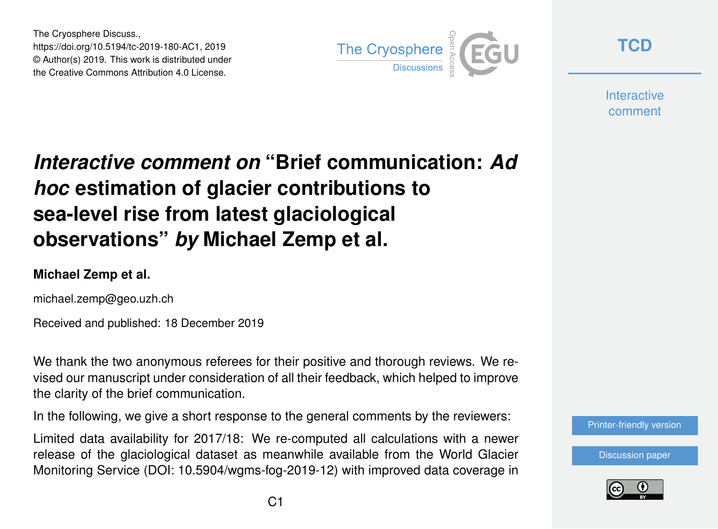The Cryosphere Discuss., https://doi.org/10.5194/tc-2019-180-AC1, 2019 © Author(s) 2019. This work is distributed under the Creative Commons Attribution 4.0 License.



**[TCD](https://www.the-cryosphere-discuss.net/)**

**Interactive** comment

## *Interactive comment on* **"Brief communication:** *Ad hoc* **estimation of glacier contributions to sea-level rise from latest glaciological observations"** *by* **Michael Zemp et al.**

## **Michael Zemp et al.**

michael.zemp@geo.uzh.ch

Received and published: 18 December 2019

We thank the two anonymous referees for their positive and thorough reviews. We revised our manuscript under consideration of all their feedback, which helped to improve the clarity of the brief communication.

In the following, we give a short response to the general comments by the reviewers:

Limited data availability for 2017/18: We re-computed all calculations with a newer release of the glaciological dataset as meanwhile available from the World Glacier Monitoring Service (DOI: 10.5904/wgms-fog-2019-12) with improved data coverage in



[Discussion paper](https://www.the-cryosphere-discuss.net/tc-2019-180)